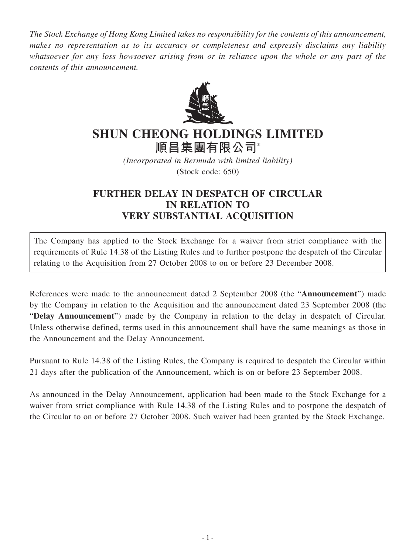*The Stock Exchange of Hong Kong Limited takes no responsibility for the contents of this announcement, makes no representation as to its accuracy or completeness and expressly disclaims any liability whatsoever for any loss howsoever arising from or in reliance upon the whole or any part of the contents of this announcement.*



## **SHUN CHEONG HOLDINGS LIMITED 順昌集團有限公司\***

*(Incorporated in Bermuda with limited liability)* (Stock code: 650)

## **FURTHER DELAY IN DESPATCH OF CIRCULAR IN RELATION TO VERY SUBSTANTIAL ACQUISITION**

The Company has applied to the Stock Exchange for a waiver from strict compliance with the requirements of Rule 14.38 of the Listing Rules and to further postpone the despatch of the Circular relating to the Acquisition from 27 October 2008 to on or before 23 December 2008.

References were made to the announcement dated 2 September 2008 (the "**Announcement**") made by the Company in relation to the Acquisition and the announcement dated 23 September 2008 (the "**Delay Announcement**") made by the Company in relation to the delay in despatch of Circular. Unless otherwise defined, terms used in this announcement shall have the same meanings as those in the Announcement and the Delay Announcement.

Pursuant to Rule 14.38 of the Listing Rules, the Company is required to despatch the Circular within 21 days after the publication of the Announcement, which is on or before 23 September 2008.

As announced in the Delay Announcement, application had been made to the Stock Exchange for a waiver from strict compliance with Rule 14.38 of the Listing Rules and to postpone the despatch of the Circular to on or before 27 October 2008. Such waiver had been granted by the Stock Exchange.